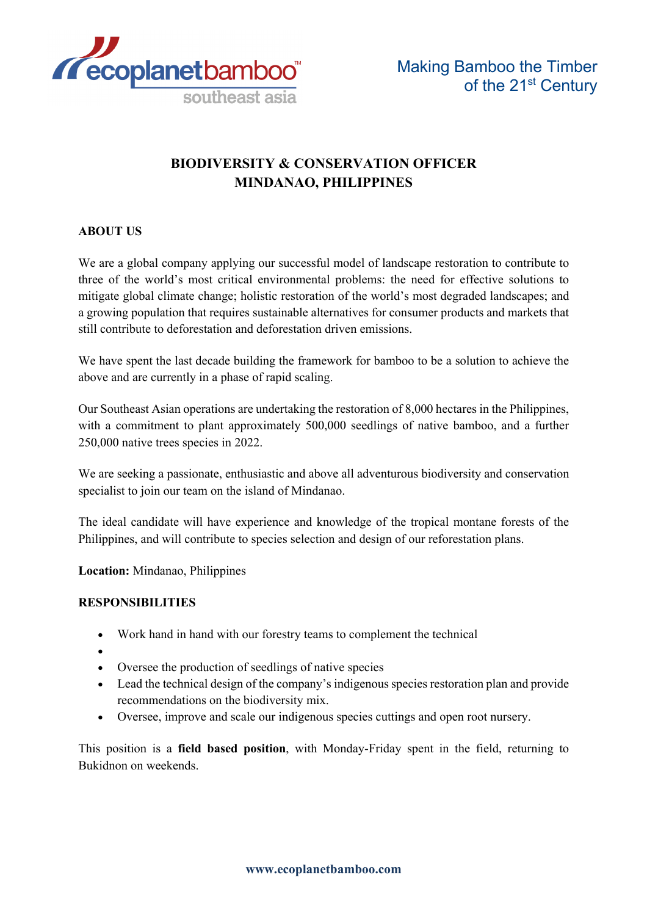

# **BIODIVERSITY & CONSERVATION OFFICER MINDANAO, PHILIPPINES**

# **ABOUT US**

We are a global company applying our successful model of landscape restoration to contribute to three of the world's most critical environmental problems: the need for effective solutions to mitigate global climate change; holistic restoration of the world's most degraded landscapes; and a growing population that requires sustainable alternatives for consumer products and markets that still contribute to deforestation and deforestation driven emissions.

We have spent the last decade building the framework for bamboo to be a solution to achieve the above and are currently in a phase of rapid scaling.

Our Southeast Asian operations are undertaking the restoration of 8,000 hectares in the Philippines, with a commitment to plant approximately 500,000 seedlings of native bamboo, and a further 250,000 native trees species in 2022.

We are seeking a passionate, enthusiastic and above all adventurous biodiversity and conservation specialist to join our team on the island of Mindanao.

The ideal candidate will have experience and knowledge of the tropical montane forests of the Philippines, and will contribute to species selection and design of our reforestation plans.

**Location:** Mindanao, Philippines

### **RESPONSIBILITIES**

- Work hand in hand with our forestry teams to complement the technical
- •
- Oversee the production of seedlings of native species
- Lead the technical design of the company's indigenous species restoration plan and provide recommendations on the biodiversity mix.
- Oversee, improve and scale our indigenous species cuttings and open root nursery.

This position is a **field based position**, with Monday-Friday spent in the field, returning to Bukidnon on weekends.